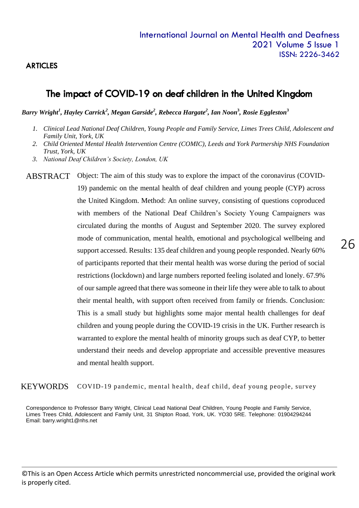### **ARTICLES**

### The impact of COVID-19 on deaf children in the United Kingdom

*Barry Wright<sup>1</sup> , Hayley Carrick<sup>2</sup> , Megan Garside<sup>2</sup> , Rebecca Hargate<sup>2</sup> , Ian Noon***<sup>3</sup>** *, Rosie Eggleston***<sup>3</sup>**

- *1. Clinical Lead National Deaf Children, Young People and Family Service, Limes Trees Child, Adolescent and Family Unit, York, UK*
- *2. Child Oriented Mental Health Intervention Centre (COMIC), Leeds and York Partnership NHS Foundation Trust, York, UK*
- *3. National Deaf Children's Society, London, UK*

ABSTRACT Object: The aim of this study was to explore the impact of the coronavirus (COVID-19) pandemic on the mental health of deaf children and young people (CYP) across the United Kingdom. Method: An online survey, consisting of questions coproduced with members of the National Deaf Children's Society Young Campaigners was circulated during the months of August and September 2020. The survey explored mode of communication, mental health, emotional and psychological wellbeing and support accessed. Results: 135 deaf children and young people responded. Nearly 60% of participants reported that their mental health was worse during the period of social restrictions (lockdown) and large numbers reported feeling isolated and lonely. 67.9% of our sample agreed that there was someone in their life they were able to talk to about their mental health, with support often received from family or friends. Conclusion: This is a small study but highlights some major mental health challenges for deaf children and young people during the COVID-19 crisis in the UK. Further research is warranted to explore the mental health of minority groups such as deaf CYP, to better understand their needs and develop appropriate and accessible preventive measures and mental health support.

COVID-19 pandemic, mental health, deaf child, deaf young people, survey KEYWORDS

Correspondence to Professor Barry Wright, Clinical Lead National Deaf Children, Young People and Family Service, Limes Trees Child, Adolescent and Family Unit, 31 Shipton Road, York, UK. YO30 5RE. Telephone: 01904294244 Email: barry.wright1@nhs.net

©This is an Open Access Article which permits unrestricted noncommercial use, provided the original work is properly cited.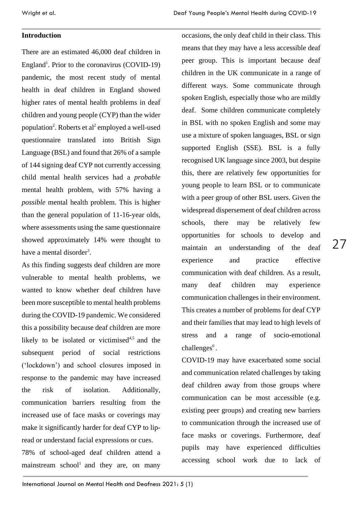### **Introduction**

There are an estimated 46,000 deaf children in England<sup>1</sup>. Prior to the coronavirus (COVID-19) pandemic, the most recent study of mental health in deaf children in England showed higher rates of mental health problems in deaf children and young people (CYP) than the wider population<sup>2</sup>. Roberts et al<sup>2</sup> employed a well-used questionnaire translated into British Sign Language (BSL) and found that 26% of a sample of 144 signing deaf CYP not currently accessing child mental health services had a *probable* mental health problem, with 57% having a *possible* mental health problem. This is higher than the general population of 11-16-year olds, where assessments using the same questionnaire showed approximately 14% were thought to have a mental disorder<sup>3</sup>.

As this finding suggests deaf children are more vulnerable to mental health problems, we wanted to know whether deaf children have been more susceptible to mental health problems during the COVID-19 pandemic. We considered this a possibility because deaf children are more likely to be isolated or victimised<sup>4,5</sup> and the subsequent period of social restrictions ('lockdown') and school closures imposed in response to the pandemic may have increased the risk of isolation. Additionally, communication barriers resulting from the increased use of face masks or coverings may make it significantly harder for deaf CYP to lipread or understand facial expressions or cues. 78% of school-aged deaf children attend a mainstream  $\text{school}^1$  and they are, on many occasions, the only deaf child in their class. This means that they may have a less accessible deaf peer group. This is important because deaf children in the UK communicate in a range of different ways. Some communicate through spoken English, especially those who are mildly deaf. Some children communicate completely in BSL with no spoken English and some may use a mixture of spoken languages, BSL or sign supported English (SSE). BSL is a fully recognised UK language since 2003, but despite this, there are relatively few opportunities for young people to learn BSL or to communicate with a peer group of other BSL users. Given the widespread dispersement of deaf children across schools, there may be relatively few opportunities for schools to develop and maintain an understanding of the deaf experience and practice effective communication with deaf children. As a result, many deaf children may experience communication challenges in their environment. This creates a number of problems for deaf CYP and their families that may lead to high levels of stress and a range of socio-emotional challenges<sup>6</sup>.

COVID-19 may have exacerbated some social and communication related challenges by taking deaf children away from those groups where communication can be most accessible (e.g. existing peer groups) and creating new barriers to communication through the increased use of face masks or coverings. Furthermore, deaf pupils may have experienced difficulties accessing school work due to lack of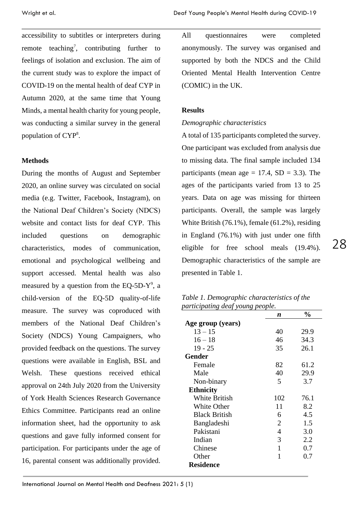accessibility to subtitles or interpreters during remote teaching<sup>7</sup>, contributing further to feelings of isolation and exclusion. The aim of the current study was to explore the impact of COVID-19 on the mental health of deaf CYP in Autumn 2020, at the same time that Young Minds, a mental health charity for young people, was conducting a similar survey in the general population of CYP<sup>8</sup>.

#### **Methods**

During the months of August and September 2020, an online survey was circulated on social media (e.g. Twitter, Facebook, Instagram), on the National Deaf Children's Society (NDCS) website and contact lists for deaf CYP. This included questions on demographic characteristics, modes of communication, emotional and psychological wellbeing and support accessed. Mental health was also measured by a question from the EQ-5D- $Y^9$ , a child-version of the EQ-5D quality-of-life measure. The survey was coproduced with members of the National Deaf Children's Society (NDCS) Young Campaigners, who provided feedback on the questions. The survey questions were available in English, BSL and Welsh. These questions received ethical approval on 24th July 2020 from the University of York Health Sciences Research Governance Ethics Committee. Participants read an online information sheet, had the opportunity to ask questions and gave fully informed consent for participation. For participants under the age of 16, parental consent was additionally provided.

All questionnaires were completed anonymously. The survey was organised and supported by both the NDCS and the Child Oriented Mental Health Intervention Centre (COMIC) in the UK.

#### **Results**

#### *Demographic characteristics*

A total of 135 participants completed the survey. One participant was excluded from analysis due to missing data. The final sample included 134 participants (mean age  $= 17.4$ , SD  $= 3.3$ ). The ages of the participants varied from 13 to 25 years. Data on age was missing for thirteen participants. Overall, the sample was largely White British (76.1%), female (61.2%), residing in England (76.1%) with just under one fifth eligible for free school meals (19.4%). Demographic characteristics of the sample are presented in Table 1.

28

*Table 1. Demographic characteristics of the participating deaf young people.*

|                      | n              | $\frac{0}{0}$ |
|----------------------|----------------|---------------|
| Age group (years)    |                |               |
| $13 - 15$            | 40             | 29.9          |
| $16 - 18$            | 46             | 34.3          |
| $19 - 25$            | 35             | 26.1          |
| Gender               |                |               |
| Female               | 82             | 61.2          |
| Male                 | 40             | 29.9          |
| Non-binary           | 5              | 3.7           |
| <b>Ethnicity</b>     |                |               |
| White British        | 102            | 76.1          |
| White Other          | 11             | 8.2           |
| <b>Black British</b> | 6              | 4.5           |
| Bangladeshi          | $\overline{2}$ | 1.5           |
| Pakistani            | 4              | 3.0           |
| Indian               | 3              | 2.2           |
| Chinese              | 1              | 0.7           |
| Other                | 1              | 0.7           |
| <b>Residence</b>     |                |               |

International Journal on Mental Health and Deafness 2021: 5 (1)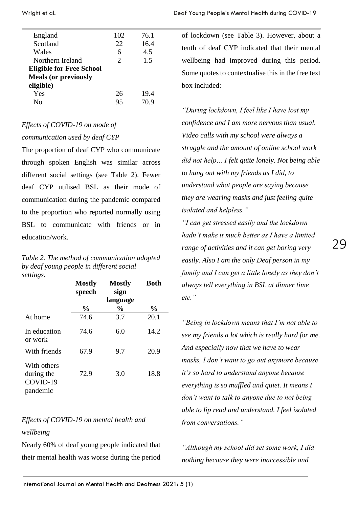| England                         | 102                   | 76.1 |
|---------------------------------|-----------------------|------|
| Scotland                        | 22                    | 16.4 |
| Wales                           | 6                     | 4.5  |
| Northern Ireland                | $\mathcal{D}_{\cdot}$ | 1.5  |
| <b>Eligible for Free School</b> |                       |      |
| <b>Meals (or previously</b>     |                       |      |
| eligible)                       |                       |      |
| Yes                             | 26                    | 19.4 |
| Nο                              | 95                    | 70.9 |
|                                 |                       |      |

# *Effects of COVID-19 on mode of*

### *communication used by deaf CYP*

The proportion of deaf CYP who communicate through spoken English was similar across different social settings (see Table 2). Fewer deaf CYP utilised BSL as their mode of communication during the pandemic compared to the proportion who reported normally using BSL to communicate with friends or in education/work.

|           | Table 2. The method of communication adopted |
|-----------|----------------------------------------------|
|           | by deaf young people in different social     |
| settings. |                                              |

|                                                   | <b>Mostly</b><br>speech | <b>Mostly</b><br>sign | <b>Both</b>   |
|---------------------------------------------------|-------------------------|-----------------------|---------------|
|                                                   |                         | language              |               |
|                                                   | $\frac{0}{0}$           | $\frac{0}{0}$         | $\frac{0}{0}$ |
| At home                                           | 74.6                    | 3.7                   | 20.1          |
| In education<br>or work                           | 74.6                    | 6.0                   | 14.2          |
| With friends                                      | 67.9                    | 9.7                   | 20.9          |
| With others<br>during the<br>COVID-19<br>pandemic | 72.9                    | 3.0                   | 18.8          |

# *Effects of COVID-19 on mental health and wellbeing*

Nearly 60% of deaf young people indicated that their mental health was worse during the period

of lockdown (see Table 3). However, about a tenth of deaf CYP indicated that their mental wellbeing had improved during this period. Some quotes to contextualise this in the free text box included:

*"During lockdown, I feel like I have lost my confidence and I am more nervous than usual. Video calls with my school were always a struggle and the amount of online school work did not help… I felt quite lonely. Not being able to hang out with my friends as I did, to understand what people are saying because they are wearing masks and just feeling quite isolated and helpless."*

*"I can get stressed easily and the lockdown hadn't make it much better as I have a limited range of activities and it can get boring very easily. Also I am the only Deaf person in my family and I can get a little lonely as they don't always tell everything in BSL at dinner time etc."*

*"Being in lockdown means that I'm not able to see my friends a lot which is really hard for me. And especially now that we have to wear masks, I don't want to go out anymore because it's so hard to understand anyone because everything is so muffled and quiet. It means I don't want to talk to anyone due to not being able to lip read and understand. I feel isolated from conversations."*

*"Although my school did set some work, I did nothing because they were inaccessible and*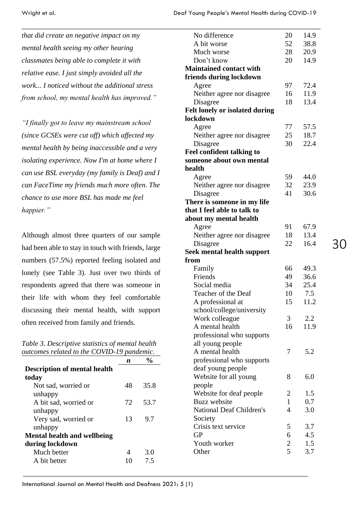*that did create an negative impact on my mental health seeing my other hearing classmates being able to complete it with relative ease. I just simply avoided all the work... I noticed without the additional stress from school, my mental health has improved."*

*"I finally got to leave my mainstream school (since GCSEs were cut off) which affected my mental health by being inaccessible and a very isolating experience. Now I'm at home where I can use BSL everyday (my family is Deaf) and I can FaceTime my friends much more often. The chance to use more BSL has made me feel happier."*

Although almost three quarters of our sample had been able to stay in touch with friends, large numbers (57.5%) reported feeling isolated and lonely (see Table 3). Just over two thirds of respondents agreed that there was someone in their life with whom they feel comfortable discussing their mental health, with support often received from family and friends.

*Table 3. Descriptive statistics of mental health outcomes related to the COVID-19 pandemic.* 

|                                     | n  |      |
|-------------------------------------|----|------|
| <b>Description of mental health</b> |    |      |
| today                               |    |      |
| Not sad, worried or                 | 48 | 35.8 |
| unhappy                             |    |      |
| A bit sad, worried or               | 72 | 53.7 |
| unhappy                             |    |      |
| Very sad, worried or                | 13 | 9.7  |
| unhappy                             |    |      |
| <b>Mental health and wellbeing</b>  |    |      |
| during lockdown                     |    |      |
| Much better                         |    | 3.0  |
| A bit better                        |    | 7.5  |

| No difference                         | 20             | 14.9 |
|---------------------------------------|----------------|------|
| A bit worse                           | 52             | 38.8 |
| Much worse                            | 28             | 20.9 |
| Don't know                            | 20             | 14.9 |
| <b>Maintained contact with</b>        |                |      |
| friends during lockdown               |                |      |
| Agree                                 | 97             | 72.4 |
| Neither agree nor disagree            | 16             | 11.9 |
| Disagree                              | 18             | 13.4 |
| <b>Felt lonely or isolated during</b> |                |      |
| lockdown                              |                |      |
| Agree                                 | 77             | 57.5 |
| Neither agree nor disagree            | 25             | 18.7 |
| Disagree                              | 30             | 22.4 |
| <b>Feel confident talking to</b>      |                |      |
| someone about own mental              |                |      |
| health                                |                |      |
| Agree                                 | 59             | 44.0 |
| Neither agree nor disagree            | 32             | 23.9 |
| Disagree                              | 41             | 30.6 |
| There is someone in my life           |                |      |
| that I feel able to talk to           |                |      |
| about my mental health                |                |      |
| Agree                                 | 91             | 67.9 |
| Neither agree nor disagree            | 18             | 13.4 |
| Disagree                              | 22             | 16.4 |
| <b>Seek mental health support</b>     |                |      |
| from                                  |                |      |
| Family                                | 66             | 49.3 |
| Friends                               | 49             | 36.6 |
| Social media                          | 34             | 25.4 |
| Teacher of the Deaf                   | 10             | 7.5  |
| A professional at                     | 15             | 11.2 |
| school/college/university             |                |      |
| Work colleague                        | 3              | 2.2  |
| A mental health                       | 16             | 11.9 |
| professional who supports             |                |      |
| all young people                      |                |      |
| A mental health                       | 7              | 5.2  |
| professional who supports             |                |      |
| deaf young people                     |                |      |
| Website for all young                 | 8              | 6.0  |
| people                                |                |      |
| Website for deaf people               | 2              | 1.5  |
| <b>Buzz</b> website                   | $\mathbf{1}$   | 0.7  |
| National Deaf Children's              | 4              | 3.0  |
| Society                               |                |      |
| Crisis text service                   | 5              | 3.7  |
| <b>GP</b>                             | 6              | 4.5  |
| Youth worker                          | $\overline{c}$ | 1.5  |
| Other                                 | 5              | 3.7  |
|                                       |                |      |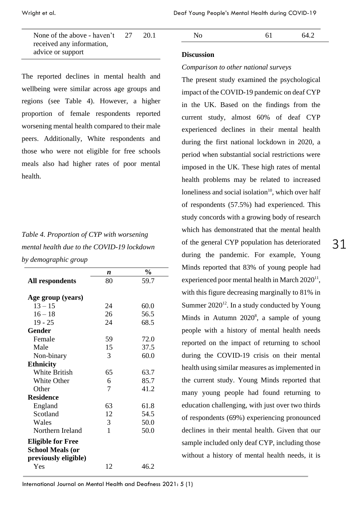None of the above - haven't received any information, advice or support 27 20.1

The reported declines in mental health and wellbeing were similar across age groups and regions (see Table 4). However, a higher proportion of female respondents reported worsening mental health compared to their male peers. Additionally, White respondents and those who were not eligible for free schools meals also had higher rates of poor mental health.

# *Table 4. Proportion of CYP with worsening mental health due to the COVID-19 lockdown by demographic group*

|                          | n            | $\frac{0}{0}$ |
|--------------------------|--------------|---------------|
| All respondents          | 80           | 59.7          |
|                          |              |               |
| Age group (years)        |              |               |
| $13 - 15$                | 24           | 60.0          |
| $16 - 18$                | 26           | 56.5          |
| $19 - 25$                | 24           | 68.5          |
| <b>Gender</b>            |              |               |
| Female                   | 59           | 72.0          |
| Male                     | 15           | 37.5          |
| Non-binary               | 3            | 60.0          |
| <b>Ethnicity</b>         |              |               |
| <b>White British</b>     | 65           | 63.7          |
| White Other              | 6            | 85.7          |
| Other                    | 7            | 41.2          |
| <b>Residence</b>         |              |               |
| England                  | 63           | 61.8          |
| Scotland                 | 12           | 54.5          |
| Wales                    | 3            | 50.0          |
| Northern Ireland         | $\mathbf{1}$ | 50.0          |
| <b>Eligible for Free</b> |              |               |
| <b>School Meals (or</b>  |              |               |
| previously eligible)     |              |               |
| Yes                      | 12           | 46.2          |

| '~ | - | 64 |
|----|---|----|
|    |   |    |

#### **Discussion**

#### *Comparison to other national surveys*

The present study examined the psychological impact of the COVID-19 pandemic on deaf CYP in the UK. Based on the findings from the current study, almost 60% of deaf CYP experienced declines in their mental health during the first national lockdown in 2020, a period when substantial social restrictions were imposed in the UK. These high rates of mental health problems may be related to increased loneliness and social isolation<sup>10</sup>, which over half of respondents (57.5%) had experienced. This study concords with a growing body of research which has demonstrated that the mental health of the general CYP population has deteriorated during the pandemic. For example, Young Minds reported that 83% of young people had experienced poor mental health in March  $2020^{11}$ , with this figure decreasing marginally to 81% in Summer  $2020^{12}$ . In a study conducted by Young Minds in Autumn  $2020^8$ , a sample of young people with a history of mental health needs reported on the impact of returning to school during the COVID-19 crisis on their mental health using similar measures as implemented in the current study. Young Minds reported that many young people had found returning to education challenging, with just over two thirds of respondents (69%) experiencing pronounced declines in their mental health. Given that our sample included only deaf CYP, including those without a history of mental health needs, it is

International Journal on Mental Health and Deafness 2021: 5 (1)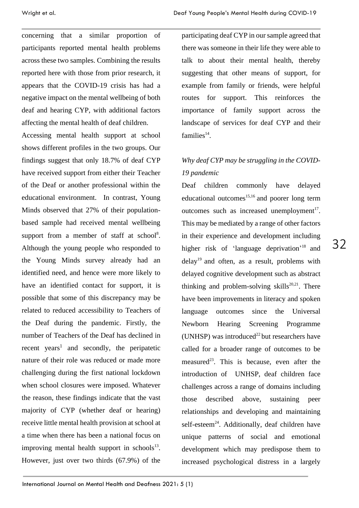concerning that a similar proportion of participants reported mental health problems across these two samples. Combining the results reported here with those from prior research, it appears that the COVID-19 crisis has had a negative impact on the mental wellbeing of both deaf and hearing CYP, with additional factors affecting the mental health of deaf children.

Accessing mental health support at school shows different profiles in the two groups. Our findings suggest that only 18.7% of deaf CYP have received support from either their Teacher of the Deaf or another professional within the educational environment. In contrast, Young Minds observed that 27% of their populationbased sample had received mental wellbeing support from a member of staff at school<sup>8</sup>. Although the young people who responded to the Young Minds survey already had an identified need, and hence were more likely to have an identified contact for support, it is possible that some of this discrepancy may be related to reduced accessibility to Teachers of the Deaf during the pandemic. Firstly, the number of Teachers of the Deaf has declined in recent years<sup>1</sup> and secondly, the peripatetic nature of their role was reduced or made more challenging during the first national lockdown when school closures were imposed. Whatever the reason, these findings indicate that the vast majority of CYP (whether deaf or hearing) receive little mental health provision at school at a time when there has been a national focus on improving mental health support in schools $13$ . However, just over two thirds (67.9%) of the

participating deaf CYP in our sample agreed that there was someone in their life they were able to talk to about their mental health, thereby suggesting that other means of support, for example from family or friends, were helpful routes for support. This reinforces the importance of family support across the landscape of services for deaf CYP and their families<sup>14</sup>.

# *Why deaf CYP may be struggling in the COVID-19 pandemic*

Deaf children commonly have delayed educational outcomes $^{15,16}$  and poorer long term outcomes such as increased unemployment<sup>17</sup>. This may be mediated by a range of other factors in their experience and development including higher risk of 'language deprivation'<sup>18</sup> and  $delay^{19}$  and often, as a result, problems with delayed cognitive development such as abstract thinking and problem-solving skills<sup>20,21</sup>. There have been improvements in literacy and spoken language outcomes since the Universal Newborn Hearing Screening Programme (UNHSP) was introduced<sup>22</sup> but researchers have called for a broader range of outcomes to be measured<sup>23</sup>. This is because, even after the introduction of UNHSP, deaf children face challenges across a range of domains including those described above, sustaining peer relationships and developing and maintaining self-esteem<sup>24</sup>. Additionally, deaf children have unique patterns of social and emotional development which may predispose them to increased psychological distress in a largely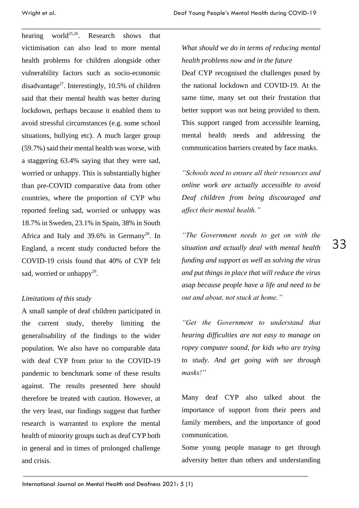hearing world<sup>25,26</sup>. Research shows that victimisation can also lead to more mental health problems for children alongside other vulnerability factors such as socio-economic disadvantage<sup>27</sup>. Interestingly, 10.5% of children said that their mental health was better during lockdown, perhaps because it enabled them to avoid stressful circumstances (e.g. some school situations, bullying etc). A much larger group (59.7%) said their mental health was worse, with a staggering 63.4% saying that they were sad, worried or unhappy. This is substantially higher than pre-COVID comparative data from other countries, where the proportion of CYP who reported feeling sad, worried or unhappy was 18.7% in Sweden, 23.1% in Spain, 38% in South Africa and Italy and 39.6% in Germany<sup>28</sup>. In England, a recent study conducted before the COVID-19 crisis found that 40% of CYP felt sad, worried or unhappy<sup>29</sup>.

### *Limitations of this study*

A small sample of deaf children participated in the current study, thereby limiting the generalisability of the findings to the wider population. We also have no comparable data with deaf CYP from prior to the COVID-19 pandemic to benchmark some of these results against. The results presented here should therefore be treated with caution. However, at the very least, our findings suggest that further research is warranted to explore the mental health of minority groups such as deaf CYP both in general and in times of prolonged challenge and crisis.

# *What should we do in terms of reducing mental health problems now and in the future*

Deaf CYP recognised the challenges posed by the national lockdown and COVID-19. At the same time, many set out their frustation that better support was not being provided to them. This support ranged from accessible learning, mental health needs and addressing the communication barriers created by face masks.

*"Schools need to ensure all their resources and online work are actually accessible to avoid Deaf children from being discouraged and affect their mental health."*

*"The Government needs to get on with the situation and actually deal with mental health funding and support as well as solving the virus and put things in place that will reduce the virus asap because people have a life and need to be out and about, not stuck at home."*

*"Get the Government to understand that hearing difficulties are not easy to manage on ropey computer sound, for kids who are trying to study. And get going with see through masks!"*

Many deaf CYP also talked about the importance of support from their peers and family members, and the importance of good communication.

Some young people manage to get through adversity better than others and understanding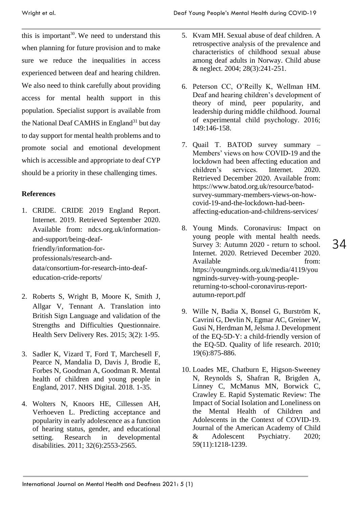this is important<sup>30</sup>. We need to understand this when planning for future provision and to make sure we reduce the inequalities in access experienced between deaf and hearing children. We also need to think carefully about providing access for mental health support in this population. Specialist support is available from the National Deaf CAMHS in England<sup>31</sup> but day to day support for mental health problems and to promote social and emotional development which is accessible and appropriate to deaf CYP should be a priority in these challenging times.

### **References**

- 1. CRIDE. CRIDE 2019 England Report. Internet. 2019. Retrieved September 2020. Available from: ndcs.org.uk/informationand-support/being-deaffriendly/information-forprofessionals/research-anddata/consortium-for-research-into-deafeducation-cride-reports/
- 2. Roberts S, Wright B, Moore K, Smith J, Allgar V, Tennant A. Translation into British Sign Language and validation of the Strengths and Difficulties Questionnaire. Health Serv Delivery Res. 2015; 3(2): 1-95.
- 3. Sadler K, Vizard T, Ford T, Marchesell F, Pearce N, Mandalia D, Davis J, Brodie E, Forbes N, Goodman A, Goodman R. Mental health of children and young people in England, 2017. NHS Digital. 2018. 1-35.
- 4. Wolters N, Knoors HE, Cillessen AH, Verhoeven L. Predicting acceptance and popularity in early adolescence as a function of hearing status, gender, and educational setting. Research in developmental disabilities. 2011; 32(6):2553-2565.
- 5. Kvam MH. Sexual abuse of deaf children. A retrospective analysis of the prevalence and characteristics of childhood sexual abuse among deaf adults in Norway. Child abuse & neglect. 2004; 28(3):241-251.
- 6. Peterson CC, O'Reilly K, Wellman HM. Deaf and hearing children's development of theory of mind, peer popularity, and leadership during middle childhood. Journal of experimental child psychology. 2016; 149:146-158.
- 7. Quail T. BATOD survey summary Members' views on how COVID-19 and the lockdown had been affecting education and children's services. Internet. 2020. Retrieved December 2020. Available from: https://www.batod.org.uk/resource/batodsurvey-summary-members-views-on-howcovid-19-and-the-lockdown-had-beenaffecting-education-and-childrens-services/
- 8. Young Minds. Coronavirus: Impact on young people with mental health needs. Survey 3: Autumn 2020 - return to school. Internet. 2020. Retrieved December 2020. Available from: https://youngminds.org.uk/media/4119/you ngminds-survey-with-young-peoplereturning-to-school-coronavirus-reportautumn-report.pdf
- 9. Wille N, Badia X, Bonsel G, Burström K, Cavrini G, Devlin N, Egmar AC, Greiner W, Gusi N, Herdman M, Jelsma J. Development of the EQ-5D-Y: a child-friendly version of the EQ-5D. Quality of life research. 2010; 19(6):875-886.
- 10. Loades ME, Chatburn E, Higson-Sweeney N, Reynolds S, Shafran R, Brigden A, Linney C, McManus MN, Borwick C, Crawley E. Rapid Systematic Review: The Impact of Social Isolation and Loneliness on the Mental Health of Children and Adolescents in the Context of COVID-19. Journal of the American Academy of Child & Adolescent Psychiatry. 2020; 59(11):1218-1239.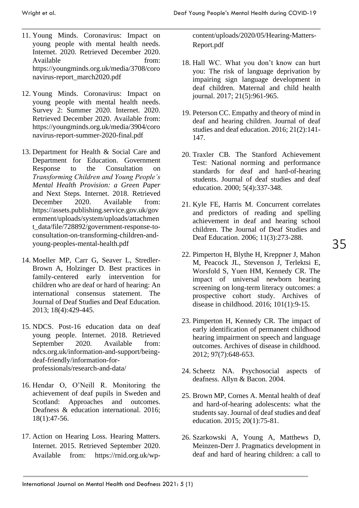- 11. Young Minds. Coronavirus: Impact on young people with mental health needs. Internet. 2020. Retrieved December 2020. Available from: https://youngminds.org.uk/media/3708/coro navirus-report\_march2020.pdf
- 12. Young Minds. Coronavirus: Impact on young people with mental health needs. Survey 2: Summer 2020. Internet. 2020. Retrieved December 2020. Available from: https://youngminds.org.uk/media/3904/coro navirus-report-summer-2020-final.pdf
- 13. Department for Health & Social Care and Department for Education. Government Response to the Consultation on *Transforming Children and Young People's Mental Health Provision: a Green Paper*  and Next Steps*.* Internet. 2018. Retrieved December 2020. Available from: https://assets.publishing.service.gov.uk/gov ernment/uploads/system/uploads/attachmen t\_data/file/728892/government-response-toconsultation-on-transforming-children-andyoung-peoples-mental-health.pdf
- 14. Moeller MP, Carr G, Seaver L, Stredler-Brown A, Holzinger D. Best practices in family-centered early intervention for children who are deaf or hard of hearing: An international consensus statement. The Journal of Deaf Studies and Deaf Education. 2013; 18(4):429-445.
- 15. NDCS. Post-16 education data on deaf young people. Internet. 2018. Retrieved September 2020. Available from: ndcs.org.uk/information-and-support/beingdeaf-friendly/information-forprofessionals/research-and-data/
- 16. Hendar O, O'Neill R. Monitoring the achievement of deaf pupils in Sweden and Scotland: Approaches and outcomes. Deafness & education international. 2016; 18(1):47-56.
- 17. Action on Hearing Loss. Hearing Matters. Internet. 2015. Retrieved September 2020. Available from: https://rnid.org.uk/wp-

content/uploads/2020/05/Hearing-Matters-Report.pdf

- 18. Hall WC. What you don't know can hurt you: The risk of language deprivation by impairing sign language development in deaf children. Maternal and child health journal. 2017; 21(5):961-965.
- 19. Peterson CC. Empathy and theory of mind in deaf and hearing children. Journal of deaf studies and deaf education. 2016; 21(2):141- 147.
- 20. Traxler CB. The Stanford Achievement Test: National norming and performance standards for deaf and hard-of-hearing students. Journal of deaf studies and deaf education. 2000; 5(4):337-348.
- 21. Kyle FE, Harris M. Concurrent correlates and predictors of reading and spelling achievement in deaf and hearing school children. The Journal of Deaf Studies and Deaf Education. 2006; 11(3):273-288.
- 22. Pimperton H, Blythe H, Kreppner J, Mahon M, Peacock JL, Stevenson J, Terlektsi E, Worsfold S, Yuen HM, Kennedy CR. The impact of universal newborn hearing screening on long-term literacy outcomes: a prospective cohort study. Archives of disease in childhood. 2016; 101(1):9-15.
- 23. Pimperton H, Kennedy CR. The impact of early identification of permanent childhood hearing impairment on speech and language outcomes. Archives of disease in childhood. 2012; 97(7):648-653.
- 24. Scheetz NA. Psychosocial aspects of deafness. Allyn & Bacon. 2004.
- 25. Brown MP, Cornes A. Mental health of deaf and hard-of-hearing adolescents: what the students say. Journal of deaf studies and deaf education. 2015; 20(1):75-81.
- 26. Szarkowski A, Young A, Matthews D, Meinzen-Derr J. Pragmatics development in deaf and hard of hearing children: a call to